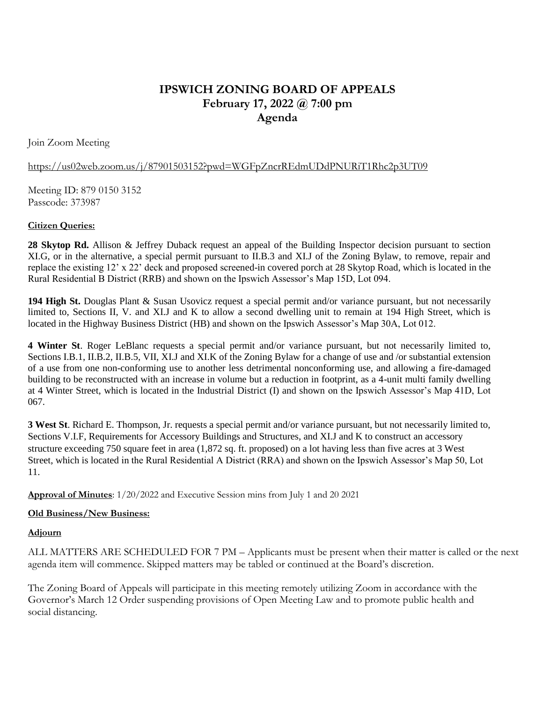# **IPSWICH ZONING BOARD OF APPEALS February 17, 2022 @ 7:00 pm Agenda**

Join Zoom Meeting

### https://us02web.zoom.us/j/87901503152?pwd=WGFpZncrREdmUDdPNURiT1Rhc2p3UT09

Meeting ID: 879 0150 3152 Passcode: 373987

### **Citizen Queries:**

**28 Skytop Rd.** Allison & Jeffrey Duback request an appeal of the Building Inspector decision pursuant to section XI.G, or in the alternative, a special permit pursuant to II.B.3 and XI.J of the Zoning Bylaw, to remove, repair and replace the existing 12' x 22' deck and proposed screened-in covered porch at 28 Skytop Road, which is located in the Rural Residential B District (RRB) and shown on the Ipswich Assessor's Map 15D, Lot 094.

**194 High St.** Douglas Plant & Susan Usovicz request a special permit and/or variance pursuant, but not necessarily limited to, Sections II, V. and XI.J and K to allow a second dwelling unit to remain at 194 High Street, which is located in the Highway Business District (HB) and shown on the Ipswich Assessor's Map 30A, Lot 012.

**4 Winter St**. Roger LeBlanc requests a special permit and/or variance pursuant, but not necessarily limited to, Sections I.B.1, II.B.2, II.B.5, VII, XI.J and XI.K of the Zoning Bylaw for a change of use and /or substantial extension of a use from one non-conforming use to another less detrimental nonconforming use, and allowing a fire-damaged building to be reconstructed with an increase in volume but a reduction in footprint, as a 4-unit multi family dwelling at 4 Winter Street, which is located in the Industrial District (I) and shown on the Ipswich Assessor's Map 41D, Lot 067.

**3 West St**. Richard E. Thompson, Jr. requests a special permit and/or variance pursuant, but not necessarily limited to, Sections V.I.F, Requirements for Accessory Buildings and Structures, and XI.J and K to construct an accessory structure exceeding 750 square feet in area (1,872 sq. ft. proposed) on a lot having less than five acres at 3 West Street, which is located in the Rural Residential A District (RRA) and shown on the Ipswich Assessor's Map 50, Lot 11.

**Approval of Minutes**: 1/20/2022 and Executive Session mins from July 1 and 20 2021

## **Old Business/New Business:**

#### **Adjourn**

ALL MATTERS ARE SCHEDULED FOR 7 PM – Applicants must be present when their matter is called or the next agenda item will commence. Skipped matters may be tabled or continued at the Board's discretion.

The Zoning Board of Appeals will participate in this meeting remotely utilizing Zoom in accordance with the Governor's March 12 Order suspending provisions of Open Meeting Law and to promote public health and social distancing.